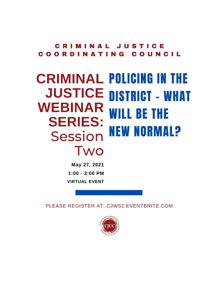**JUSTICE** C **Common Common** COUNCIL COORDI **NATING** 

# **CRIMINAL POLICING IN THE JUSTICE DISTRICT - WHAT WEBINAR WILL BE THE SERIES: NEW NORMAL?** Session Two

May 27, 2021  $1:00 - 3:00$  PM **VIRTUAL EVENT** 

PLEASE REGISTER AT: CJWS2.EVENTBRITE.COM

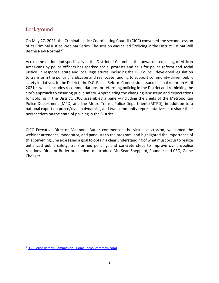## Background

On May 27, 2021, the Criminal Justice Coordinating Council (CJCC) convened the second session of its Criminal Justice Webinar Series. The session was called "Policing in the District – What Will Be the New Normal?"

Across the nation and specifically in the District of Columbia, the unwarranted killing of African Americans by police officers has sparked social protests and calls for police reform and social justice. In response, state and local legislatures, including the DC Council, developed legislation to transform the policing landscape and reallocate funding to support community-driven public safety initiatives. In the District, the D.C. Police Reform Commission issued its final report in April  $2021$ , <sup>1</sup> which includes recommendations for reforming policing in the District and rethinking the city's approach to ensuring public safety. Appreciating the changing landscape and expectations for policing in the District, CJCC assembled a panel—including the chiefs of the Metropolitan Police Department (MPD) and the Metro Transit Police Department (MTPD), in addition to a national expert on police/civilian dynamics, and two community representatives—to share their perspectives on the state of policing in the District.

CJCC Executive Director Mannone Butler commenced the virtual discussion, welcomed the webinar attendees, moderator, and panelists to the program, and highlighted the importance of this convening. She expressed a goal to obtain a clear understanding of what must occur to realize enhanced public safety, transformed policing, and concrete steps to improve civilian/police relations. Director Butler proceeded to introduce Mr. Sean Sheppard, Founder and CEO, Game Changer.

<sup>&</sup>lt;sup>1</sup> [D.C. Police Reform Commission -](https://dcpolicereform.com/) Home (dcpolicereform.com)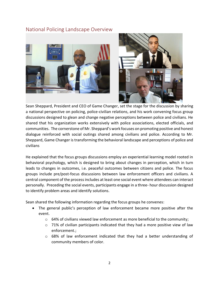## National Policing Landscape Overview





Sean Sheppard, President and CEO of Game Changer, set the stage for the discussion by sharing a national perspective on policing, police-civilian relations, and his work convening focus group discussions designed to glean and change negative perceptions between police and civilians. He shared that his organization works extensively with police associations, elected officials, and communities. The cornerstone of Mr. Sheppard's work focuses on promoting positive and honest dialogue reinforced with social outings shared among civilians and police. According to Mr. Sheppard, Game Changer is transforming the behavioral landscape and perceptions of police and civilians

He explained that the focus groups discussions employ an experiential learning model rooted in behavioral psychology, which is designed to bring about changes in perception, which in turn leads to changes in outcomes, i.e. peaceful outcomes between citizens and police. The focus groups include pre/post-focus discussions between law enforcement officers and civilians. A central component of the process includes at least one social event where attendees can interact personally. Preceding the social events, participants engage in a three- hour discussion designed to identify problem areas and identify solutions.

Sean shared the following information regarding the focus groups he convenes:

- The general public's perception of law enforcement became more positive after the event.
	- $\circ$  64% of civilians viewed law enforcement as more beneficial to the community;
	- $\circ$  71% of civilian participants indicated that they had a more positive view of law enforcement.;
	- $\circ$  68% of law enforcement indicated that they had a better understanding of community members of color.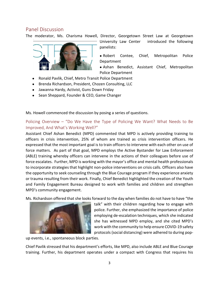## Panel Discussion

The moderator, Ms. Charisma Howell, Director, Georgetown Street Law at Georgetown



- University Law Center introduced the following panelists:
- Robert Contee, Chief, Metropolitan Police Department
- Ashan Benedict, Assistant Chief, Metropolitan Police Department
- Ronald Pavlik, Chief, Metro Transit Police Department
- Brenda Richardson, President, Chozen Consulting, LLC
- Jawanna Hardy, Activist, Guns Down Friday
- Sean Sheppard, Founder & CEO, Game Changer

Ms. Howell commenced the discussion by posing a series of questions.

Policing Overview – "Do We Have the Type of Policing We Want? What Needs to Be Improved, And What's Working Well?"

Assistant Chief Ashan Benedict (MPD) commented that MPD is actively providing training to officers in crisis intervention, 25% of whom are trained as crisis intervention officers. He expressed that the most important goal is to train officers to intervene with each other on use of force matters. As part of that goal, MPD employs the Active Bystander for Law Enforcement (ABLE) training whereby officers can intervene in the actions of their colleagues before use of force escalates. Further, MPD is working with the mayor's office and mental health professionals to incorporate strategies that highlight non-police interventions on crisis calls. Officers also have the opportunity to seek counseling through the Blue Courage program if they experience anxiety or trauma resulting from their work. Finally, Chief Benedict highlighted the creation of the Youth and Family Engagement Bureau designed to work with families and children and strengthen MPD's community engagement.

Ms. Richardson offered that she looks forward to the day when families do not have to have "the



talk" with their children regarding how to engage with police. Further, she emphasized the importance of police employing de-escalation techniques, which she indicated she has witnessed MPD employ, and she cited MPD's work with the community to help ensure COVID-19 safety protocols (social distancing) were adhered to during pop-

up events, i.e., spontaneous block parties.

Chief Pavlik stressed that his department's efforts, like MPD, also include ABLE and Blue Courage training. Further, his department operates under a compact with Congress that requires his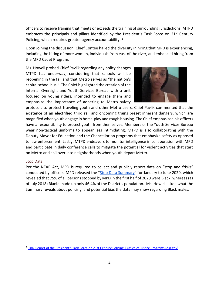officers to receive training that meets or exceeds the training of surrounding jurisdictions. MTPD embraces the principals and pillars identified by the President's Task Force on  $21^{st}$  Century Policing, which requires greater agency accountability.  $2$ 

Upon joining the discussion, Chief Contee hailed the diversity in hiring that MPD is experiencing, including the hiring of more women, individuals from east of the river, and enhanced hiring from the MPD Cadet Program.

Ms. Howell probed Chief Pavlik regarding any policy changes MTPD has underway, considering that schools will be reopening in the fall and that Metro serves as "the nation's capital school bus." The Chief highlighted the creation of the Internal Oversight and Youth Services Bureau with a unit focused on young riders, intended to engage them and emphasize the importance of adhering to Metro safety



protocols to protect traveling youth and other Metro users. Chief Pavlik commented that the existence of an electrified third rail and oncoming trains preset inherent dangers, which are magnified when youth engage in horse-play and rough housing. The Chief emphasized his officers have a responsibility to protect youth from themselves. Members of the Youth Services Bureau wear non-tactical uniforms to appear less intimidating. MTPD is also collaborating with the Deputy Mayor for Education and the Chancellor on programs that emphasize safety as opposed to law enforcement. Lastly, MTPD endeavors to monitor intelligence in collaboration with MPD and participate in daily conference calls to mitigate the potential for violent activities that start on Metro and spillover into neighborhoods when youth depart Metro.

#### Stop Data

Per the NEAR Act, MPD is required to collect and publicly report data on "stop and frisks" conducted by officers. MPD released the "[Stop Data Summary](https://mpdc.dc.gov/sites/default/files/dc/sites/mpdc/publication/attachments/Stop%20Data%20Summary_JAN_JUNE2020.pdf)" for January to June 2020, which revealed that 75% of all persons stopped by MPD in the first half of 2020 were Black, whereas (as of July 2018) Blacks made up only 46.4% of the District's population. Ms. Howell asked what the Summary reveals about policing, and potential bias the data may show regarding Black males.

<sup>&</sup>lt;sup>2</sup> [Final Report of the President's Task Force on 21st Century Policing | Office of Justice Programs \(ojp.gov\)](https://www.ojp.gov/ncjrs/virtual-library/abstracts/final-report-presidents-task-force-21st-century-policing)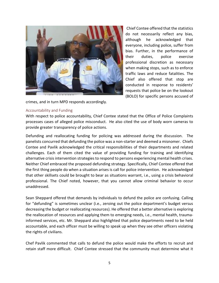

Chief Contee offered that the statistics do not necessarily reflect any bias, although he acknowledged that everyone, including police, suffer from bias. Further, in the performance of their duties, police exercise professional discretion as necessary when making stops, such as to enforce traffic laws and reduce fatalities. The Chief also offered that stop are conducted in response to residents' requests that police be on the lookout (BOLO) for specific persons accused of

crimes, and in turn MPD responds accordingly.

#### Accountability and Funding

With respect to police accountability, Chief Contee stated that the Office of Police Complaints processes cases of alleged police misconduct. He also cited the use of body worn cameras to provide greater transparency of police actions.

Defunding and reallocating funding for policing was addressed during the discussion. The panelists concurred that defunding the police was a non-starter and deemed a misnomer. Chiefs Contee and Pavlik acknowledged the critical responsibilities of their departments and related challenges. Each of them cited the value of providing funding for training and identifying alternative crisis intervention strategies to respond to persons experiencing mental health crises. Neither Chief embraced the proposed defunding strategy. Specifically, Chief Contee offered that the first thing people do when a situation arises is call for police intervention. He acknowledged that other skillsets could be brought to bear as situations warrant, i.e., using a crisis behavioral professional. The Chief noted, however, that you cannot allow criminal behavior to occur unaddressed.

Sean Sheppard offered that demands by individuals to defund the police are confusing. Calling for "defunding" is sometimes unclear (i.e., zeroing out the police department's budget versus decreasing the budget or reallocating resources). He offered that a better alternative is exploring the reallocation of resources and applying them to emerging needs, i.e., mental health, traumainformed services, etc. Mr. Sheppard also highlighted that police departments need to be held accountable, and each officer must be willing to speak up when they see other officers violating the rights of civilians.

Chef Pavlik commented that calls to defund the police would make the efforts to recruit and retain staff more difficult. Chief Contee stressed that the community must determine what it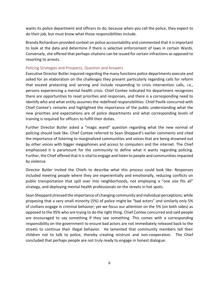wants its police department and officers to do; because when you call the police, they expect to do their job, but must know what those responsibilities include.

Brenda Richardson provided context on police accountability and commented that it is important to look at the data and determine if there is selective enforcement of laws in certain Wards. Conversely, she offered that perhaps citations can be issued for certain infractions as opposed to resorting to arrests.

### Policing Strategies and Prospects, Question and Answers

Executive Director Butler inquired regarding the many functions police departments execute and asked for an elaboration on the challenges they present particularly regarding calls for reform that exceed protecting and serving and include responding to crisis intervention calls, i.e., persons experiencing a mental health crisis. Chief Contee indicated his department recognizes there are opportunities to reset priorities and responses, and there is a corresponding need to identify who and what entity assumes the redefined responsibilities. Chief Pavlik concurred with Chief Contee's remarks and highlighted the importance of the public understanding what the new priorities and expectations are of police departments and what corresponding levels of training is required for officers to fulfill their duties.

Further Director Butler asked a "magic wand" question regarding what the new normal of policing should look like. Chief Contee referred to Sean Sheppard's earlier comments and cited the importance of listening to marginalized communities and voices that are being drowned out by other voices with bigger megaphones and access to computers and the internet. The Chief emphasized it is paramount for the community to define what it wants regarding policing. Further, the Chief offered that it is vital to engage and listen to people and communitiesimpacted by violence.

Director Butler invited the Chiefs to describe what this process could look like. Responses included meeting people where they are experientially and emotionally, reducing conflicts on public transportation that spill over into neighborhoods, not employing a "one size fits all" strategy, and deploying mental health professionals on the streets in hot spots.

Sean Sheppard stressed the importance of changing community and individual perceptions, while proposing that a very small minority (5%) of police might be "bad actors" and similarly only 5% of civilians engage in criminal behavior; yet we focus our attention on the 5% (on both sides) as opposed to the 95% who are trying to do the right thing. Chief Contee concurred and said people are encouraged to say something if they see something. This comes with a corresponding responsibility on the government to ensure bad actors are not immediately released back to the streets to continue their illegal behavior. He lamented that community members tell their children not to talk to police, thereby creating mistrust and non-cooperation. The Chief concluded that perhaps people are not truly ready to engage in honest dialogue.